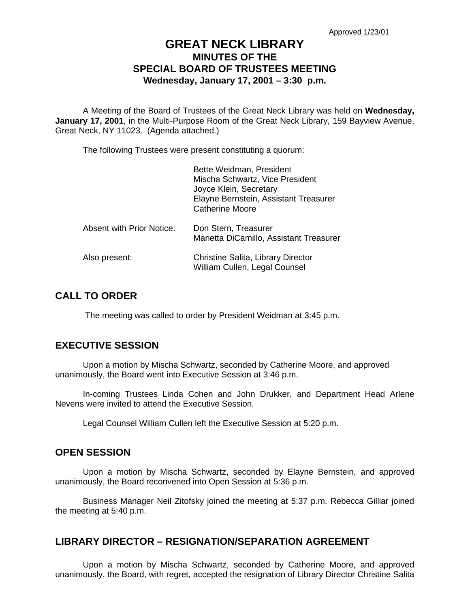# **GREAT NECK LIBRARY MINUTES OF THE SPECIAL BOARD OF TRUSTEES MEETING Wednesday, January 17, 2001 – 3:30 p.m.**

A Meeting of the Board of Trustees of the Great Neck Library was held on **Wednesday, January 17, 2001**, in the Multi-Purpose Room of the Great Neck Library, 159 Bayview Avenue, Great Neck, NY 11023. (Agenda attached.)

The following Trustees were present constituting a quorum:

|                                  | Bette Weidman, President<br>Mischa Schwartz, Vice President<br>Joyce Klein, Secretary<br>Elayne Bernstein, Assistant Treasurer<br><b>Catherine Moore</b> |
|----------------------------------|----------------------------------------------------------------------------------------------------------------------------------------------------------|
| <b>Absent with Prior Notice:</b> | Don Stern, Treasurer<br>Marietta DiCamillo, Assistant Treasurer                                                                                          |
| Also present:                    | Christine Salita, Library Director<br>William Cullen, Legal Counsel                                                                                      |

### **CALL TO ORDER**

The meeting was called to order by President Weidman at 3:45 p.m.

# **EXECUTIVE SESSION**

Upon a motion by Mischa Schwartz, seconded by Catherine Moore, and approved unanimously, the Board went into Executive Session at 3:46 p.m.

In-coming Trustees Linda Cohen and John Drukker, and Department Head Arlene Nevens were invited to attend the Executive Session.

Legal Counsel William Cullen left the Executive Session at 5:20 p.m.

### **OPEN SESSION**

Upon a motion by Mischa Schwartz, seconded by Elayne Bernstein, and approved unanimously, the Board reconvened into Open Session at 5:36 p.m.

Business Manager Neil Zitofsky joined the meeting at 5:37 p.m. Rebecca Gilliar joined the meeting at 5:40 p.m.

### **LIBRARY DIRECTOR – RESIGNATION/SEPARATION AGREEMENT**

Upon a motion by Mischa Schwartz, seconded by Catherine Moore, and approved unanimously, the Board, with regret, accepted the resignation of Library Director Christine Salita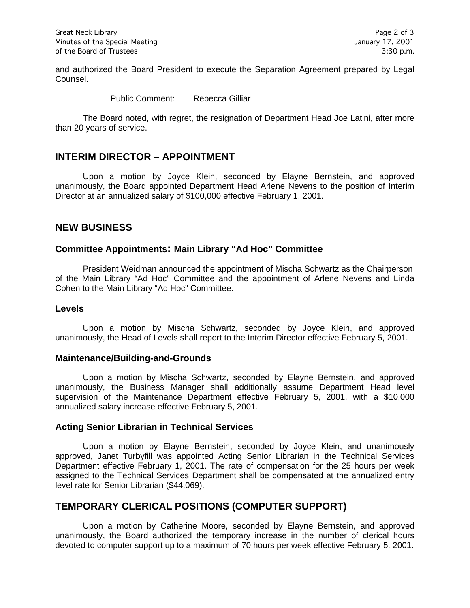and authorized the Board President to execute the Separation Agreement prepared by Legal Counsel.

Public Comment: Rebecca Gilliar

The Board noted, with regret, the resignation of Department Head Joe Latini, after more than 20 years of service.

### **INTERIM DIRECTOR – APPOINTMENT**

Upon a motion by Joyce Klein, seconded by Elayne Bernstein, and approved unanimously, the Board appointed Department Head Arlene Nevens to the position of Interim Director at an annualized salary of \$100,000 effective February 1, 2001.

### **NEW BUSINESS**

### **Committee Appointments: Main Library "Ad Hoc" Committee**

President Weidman announced the appointment of Mischa Schwartz as the Chairperson of the Main Library "Ad Hoc" Committee and the appointment of Arlene Nevens and Linda Cohen to the Main Library "Ad Hoc" Committee.

### **Levels**

Upon a motion by Mischa Schwartz, seconded by Joyce Klein, and approved unanimously, the Head of Levels shall report to the Interim Director effective February 5, 2001.

#### **Maintenance/Building-and-Grounds**

Upon a motion by Mischa Schwartz, seconded by Elayne Bernstein, and approved unanimously, the Business Manager shall additionally assume Department Head level supervision of the Maintenance Department effective February 5, 2001, with a \$10,000 annualized salary increase effective February 5, 2001.

#### **Acting Senior Librarian in Technical Services**

Upon a motion by Elayne Bernstein, seconded by Joyce Klein, and unanimously approved, Janet Turbyfill was appointed Acting Senior Librarian in the Technical Services Department effective February 1, 2001. The rate of compensation for the 25 hours per week assigned to the Technical Services Department shall be compensated at the annualized entry level rate for Senior Librarian (\$44,069).

# **TEMPORARY CLERICAL POSITIONS (COMPUTER SUPPORT)**

Upon a motion by Catherine Moore, seconded by Elayne Bernstein, and approved unanimously, the Board authorized the temporary increase in the number of clerical hours devoted to computer support up to a maximum of 70 hours per week effective February 5, 2001.